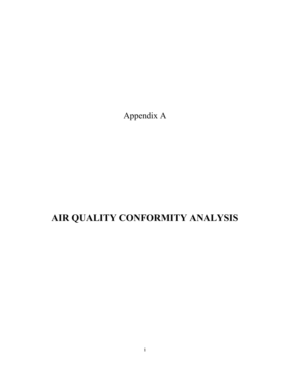Appendix A

# **AIR QUALITY CONFORMITY ANALYSIS**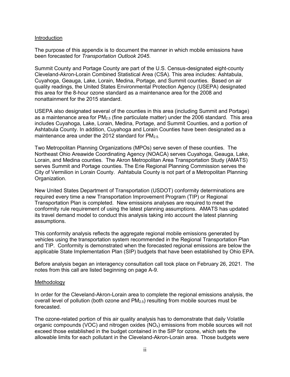#### Introduction

The purpose of this appendix is to document the manner in which mobile emissions have been forecasted for *Transportation Outlook 2045*.

Summit County and Portage County are part of the U.S. Census-designated eight-county Cleveland-Akron-Lorain Combined Statistical Area (CSA). This area includes: Ashtabula, Cuyahoga, Geauga, Lake, Lorain, Medina, Portage, and Summit counties. Based on air quality readings, the United States Environmental Protection Agency (USEPA) designated this area for the 8-hour ozone standard as a maintenance area for the 2008 and nonattainment for the 2015 standard.

USEPA also designated several of the counties in this area (including Summit and Portage) as a maintenance area for  $PM_{2.5}$  (fine particulate matter) under the 2006 standard. This area includes Cuyahoga, Lake, Lorain, Medina, Portage, and Summit Counties, and a portion of Ashtabula County. In addition, Cuyahoga and Lorain Counties have been designated as a maintenance area under the 2012 standard for  $PM_{2.5}$ .

Two Metropolitan Planning Organizations (MPOs) serve seven of these counties. The Northeast Ohio Areawide Coordinating Agency (NOACA) serves Cuyahoga, Geauga, Lake, Lorain, and Medina counties. The Akron Metropolitan Area Transportation Study (AMATS) serves Summit and Portage counties. The Erie Regional Planning Commission serves the City of Vermilion in Lorain County. Ashtabula County is not part of a Metropolitan Planning Organization.

New United States Department of Transportation (USDOT) conformity determinations are required every time a new Transportation Improvement Program (TIP) or Regional Transportation Plan is completed. New emissions analyses are required to meet the conformity rule requirement of using the latest planning assumptions. AMATS has updated its travel demand model to conduct this analysis taking into account the latest planning assumptions.

This conformity analysis reflects the aggregate regional mobile emissions generated by vehicles using the transportation system recommended in the Regional Transportation Plan and TIP. Conformity is demonstrated when the forecasted regional emissions are below the applicable State Implementation Plan (SIP) budgets that have been established by Ohio EPA.

Before analysis began an interagency consultation call took place on February 26, 2021. The notes from this call are listed beginning on page A-9.

#### Methodology

In order for the Cleveland-Akron-Lorain area to complete the regional emissions analysis, the overall level of pollution (both ozone and  $PM<sub>2.5</sub>$ ) resulting from mobile sources must be forecasted.

The ozone-related portion of this air quality analysis has to demonstrate that daily Volatile organic compounds (VOC) and nitrogen oxides ( $NO<sub>x</sub>$ ) emissions from mobile sources will not exceed those established in the budget contained in the SIP for ozone, which sets the allowable limits for each pollutant in the Cleveland-Akron-Lorain area. Those budgets were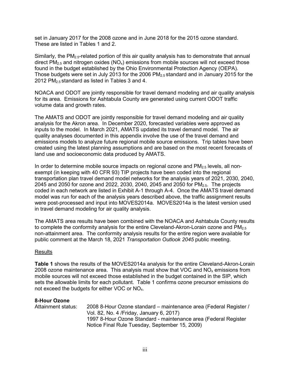set in January 2017 for the 2008 ozone and in June 2018 for the 2015 ozone standard. These are listed in Tables 1 and 2.

Similarly, the PM<sub>2.5</sub>-related portion of this air quality analysis has to demonstrate that annual direct  $PM_{2.5}$  and nitrogen oxides  $(NO_x)$  emissions from mobile sources will not exceed those found in the budget established by the Ohio Environmental Protection Agency (OEPA). Those budgets were set in July 2013 for the 2006  $PM_{2.5}$  standard and in January 2015 for the 2012 PM2.5 standard as listed in Tables 3 and 4.

NOACA and ODOT are jointly responsible for travel demand modeling and air quality analysis for its area. Emissions for Ashtabula County are generated using current ODOT traffic volume data and growth rates.

The AMATS and ODOT are jointly responsible for travel demand modeling and air quality analysis for the Akron area. In December 2020, forecasted variables were approved as inputs to the model. In March 2021, AMATS updated its travel demand model. The air quality analyses documented in this appendix involve the use of the travel demand and emissions models to analyze future regional mobile source emissions. Trip tables have been created using the latest planning assumptions and are based on the most recent forecasts of land use and socioeconomic data produced by AMATS.

In order to determine mobile source impacts on regional ozone and  $PM<sub>2.5</sub>$  levels, all nonexempt (in keeping with 40 CFR 93) TIP projects have been coded into the regional transportation plan travel demand model networks for the analysis years of 2021, 2030, 2040, 2045 and 2050 for ozone and 2022, 2030, 2040, 2045 and 2050 for  $PM_{2.5}$ . The projects coded in each network are listed in Exhibit A-1 through A-4. Once the AMATS travel demand model was run for each of the analysis years described above, the traffic assignment results were post-processed and input into MOVES2014a. MOVES2014a is the latest version used in travel demand modeling for air quality analysis.

The AMATS area results have been combined with the NOACA and Ashtabula County results to complete the conformity analysis for the entire Cleveland-Akron-Lorain ozone and  $PM<sub>2.5</sub>$ non-attainment area. The conformity analysis results for the entire region were available for public comment at the March 18, 2021 *Transportation Outlook 2045* public meeting.

### Results

**Table 1** shows the results of the MOVES2014a analysis for the entire Cleveland-Akron-Lorain 2008 ozone maintenance area. This analysis must show that VOC and  $NO<sub>x</sub>$  emissions from mobile sources will not exceed those established in the budget contained in the SIP, which sets the allowable limits for each pollutant. Table 1 confirms ozone precursor emissions do not exceed the budgets for either VOC or NOx.

#### **8-Hour Ozone**

Attainment status: 2008 8-Hour Ozone standard – maintenance area (Federal Register / Vol. 82, No. 4 /Friday, January 6, 2017) 1997 8-Hour Ozone Standard - maintenance area (Federal Register Notice Final Rule Tuesday, September 15, 2009)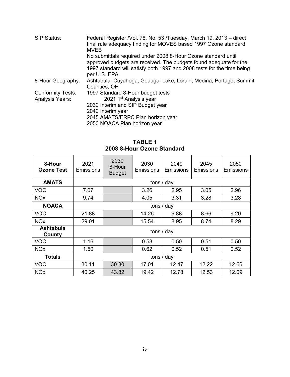| SIP Status:              | Federal Register /Vol. 78, No. 53 /Tuesday, March 19, 2013 – direct<br>final rule adequacy finding for MOVES based 1997 Ozone standard<br><b>MVEB</b>                                                        |
|--------------------------|--------------------------------------------------------------------------------------------------------------------------------------------------------------------------------------------------------------|
|                          | No submittals required under 2008 8-Hour Ozone standard until<br>approved budgets are received. The budgets found adequate for the<br>1997 standard will satisfy both 1997 and 2008 tests for the time being |
|                          | per U.S. EPA.                                                                                                                                                                                                |
| 8-Hour Geography:        | Ashtabula, Cuyahoga, Geauga, Lake, Lorain, Medina, Portage, Summit                                                                                                                                           |
|                          | Counties, OH                                                                                                                                                                                                 |
| <b>Conformity Tests:</b> | 1997 Standard 8-Hour budget tests                                                                                                                                                                            |
| <b>Analysis Years:</b>   | 2021 1 <sup>st</sup> Analysis year                                                                                                                                                                           |
|                          | 2030 Interim and SIP Budget year                                                                                                                                                                             |
|                          | 2040 Interim year                                                                                                                                                                                            |
|                          | 2045 AMATS/ERPC Plan horizon year                                                                                                                                                                            |
|                          | 2050 NOACA Plan horizon year                                                                                                                                                                                 |
|                          |                                                                                                                                                                                                              |

# **TABLE 1 2008 8-Hour Ozone Standard**

| 8-Hour<br><b>Ozone Test</b> | 2021<br><b>Emissions</b> | 2030<br>8-Hour<br><b>Budget</b> | 2030<br><b>Emissions</b> | 2040<br><b>Emissions</b> | 2045<br>Emissions | 2050<br>Emissions |
|-----------------------------|--------------------------|---------------------------------|--------------------------|--------------------------|-------------------|-------------------|
| <b>AMATS</b>                |                          |                                 | tons / day               |                          |                   |                   |
| <b>VOC</b>                  | 7.07                     |                                 | 3.26                     | 2.95                     | 3.05              | 2.96              |
| <b>NO<sub>x</sub></b>       | 9.74                     |                                 | 4.05                     | 3.31                     | 3.28              | 3.28              |
| <b>NOACA</b>                | tons / day               |                                 |                          |                          |                   |                   |
| <b>VOC</b>                  | 21.88                    |                                 | 14.26                    | 9.88                     | 8.66              | 9.20              |
| <b>NO<sub>x</sub></b>       | 29.01                    |                                 | 15.54                    | 8.95                     | 8.74              | 8.29              |
| <b>Ashtabula</b><br>County  | tons / day               |                                 |                          |                          |                   |                   |
| <b>VOC</b>                  | 1.16                     |                                 | 0.53                     | 0.50                     | 0.51              | 0.50              |
| <b>NO<sub>x</sub></b>       | 1.50                     |                                 | 0.62                     | 0.52                     | 0.51              | 0.52              |
| <b>Totals</b>               | tons / day               |                                 |                          |                          |                   |                   |
| <b>VOC</b>                  | 30.11                    | 30.80                           | 17.01                    | 12.47                    | 12.22             | 12.66             |
| <b>NO<sub>x</sub></b>       | 40.25                    | 43.82                           | 19.42                    | 12.78                    | 12.53             | 12.09             |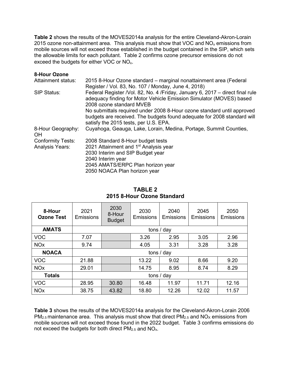**Table 2** shows the results of the MOVES2014a analysis for the entire Cleveland-Akron-Lorain 2015 ozone non-attainment area. This analysis must show that VOC and  $NO<sub>x</sub>$  emissions from mobile sources will not exceed those established in the budget contained in the SIP, which sets the allowable limits for each pollutant. Table 2 confirms ozone precursor emissions do not exceed the budgets for either VOC or NOx.

### **8-Hour Ozone**

| Attainment status:             | 2015 8-Hour Ozone standard – marginal nonattainment area (Federal                                                                                                                          |  |  |  |
|--------------------------------|--------------------------------------------------------------------------------------------------------------------------------------------------------------------------------------------|--|--|--|
|                                | Register / Vol. 83, No. 107 / Monday, June 4, 2018)                                                                                                                                        |  |  |  |
| SIP Status:                    | Federal Register /Vol. 82, No. 4 /Friday, January 6, 2017 – direct final rule<br>adequacy finding for Motor Vehicle Emission Simulator (MOVES) based<br>2008 ozone standard MVEB           |  |  |  |
|                                | No submittals required under 2008 8-Hour ozone standard until approved<br>budgets are received. The budgets found adequate for 2008 standard will<br>satisfy the 2015 tests, per U.S. EPA. |  |  |  |
| 8-Hour Geography:<br><b>OH</b> | Cuyahoga, Geauga, Lake, Lorain, Medina, Portage, Summit Counties,                                                                                                                          |  |  |  |
| <b>Conformity Tests:</b>       | 2008 Standard 8-Hour budget tests                                                                                                                                                          |  |  |  |
| <b>Analysis Years:</b>         | 2021 Attainment and 1 <sup>st</sup> Analysis year                                                                                                                                          |  |  |  |
|                                | 2030 Interim and SIP Budget year                                                                                                                                                           |  |  |  |
|                                | 2040 Interim year                                                                                                                                                                          |  |  |  |
|                                | 2045 AMATS/ERPC Plan horizon year                                                                                                                                                          |  |  |  |
|                                | 2050 NOACA Plan horizon year                                                                                                                                                               |  |  |  |

| 8-Hour<br><b>Ozone Test</b> | 2021<br>Emissions | 2030<br>8-Hour<br><b>Budget</b> | 2030<br>Emissions | 2040<br>Emissions | 2045<br>Emissions | 2050<br>Emissions |
|-----------------------------|-------------------|---------------------------------|-------------------|-------------------|-------------------|-------------------|
| <b>AMATS</b>                |                   | tons / day                      |                   |                   |                   |                   |
| <b>VOC</b>                  | 7.07              |                                 | 3.26              | 2.95              | 3.05              | 2.96              |
| <b>NO<sub>x</sub></b>       | 9.74              |                                 | 4.05              | 3.31              | 3.28              | 3.28              |
| <b>NOACA</b>                | tons / day        |                                 |                   |                   |                   |                   |
| <b>VOC</b>                  | 21.88             |                                 | 13.22             | 9.02              | 8.66              | 9.20              |
| <b>NO<sub>x</sub></b>       | 29.01             |                                 | 14.75             | 8.95              | 8.74              | 8.29              |
| <b>Totals</b>               | tons / day        |                                 |                   |                   |                   |                   |
| <b>VOC</b>                  | 28.95             | 30.80                           | 16.48             | 11.97             | 11.71             | 12.16             |
| <b>NO<sub>x</sub></b>       | 38.75             | 43.82                           | 18.80             | 12.26             | 12.02             | 11.57             |

# **TABLE 2 2015 8-Hour Ozone Standard**

**Table 3** shows the results of the MOVES2014a analysis for the Cleveland-Akron-Lorain 2006  $PM_{2.5}$  maintenance area. This analysis must show that direct  $PM_{2.5}$  and  $NO_{X}$  emissions from mobile sources will not exceed those found in the 2022 budget. Table 3 confirms emissions do not exceed the budgets for both direct  $PM<sub>2.5</sub>$  and  $NO<sub>x</sub>$ .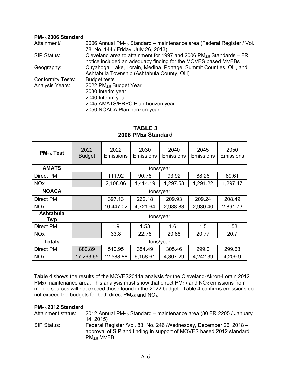#### **PM2.5 2006 Standard**

| Attainment/              | 2006 Annual PM <sub>2.5</sub> Standard – maintenance area (Federal Register / Vol. |  |  |  |
|--------------------------|------------------------------------------------------------------------------------|--|--|--|
|                          | 78, No. 144 / Friday, July 26, 2013)                                               |  |  |  |
| SIP Status:              | Cleveland area to attainment for 1997 and 2006 $PM_{2.5}$ Standards – FR           |  |  |  |
|                          | notice included an adequacy finding for the MOVES based MVEBs                      |  |  |  |
| Geography:               | Cuyahoga, Lake, Lorain, Medina, Portage, Summit Counties, OH, and                  |  |  |  |
|                          | Ashtabula Township (Ashtabula County, OH)                                          |  |  |  |
| <b>Conformity Tests:</b> | <b>Budget tests</b>                                                                |  |  |  |
| <b>Analysis Years:</b>   | 2022 PM <sub>2.5</sub> Budget Year                                                 |  |  |  |
|                          | 2030 Interim year                                                                  |  |  |  |
|                          | 2040 Interim year                                                                  |  |  |  |
|                          | 2045 AMATS/ERPC Plan horizon year                                                  |  |  |  |
|                          | 2050 NOACA Plan horizon year                                                       |  |  |  |

| PM <sub>2.5</sub> Test  | 2022<br><b>Budget</b> | 2022<br>Emissions | 2030<br>Emissions | 2040<br>Emissions | 2045<br>Emissions | 2050<br>Emissions |
|-------------------------|-----------------------|-------------------|-------------------|-------------------|-------------------|-------------------|
| <b>AMATS</b>            |                       |                   |                   | tons/year         |                   |                   |
| <b>Direct PM</b>        |                       | 111.92            | 90.78             | 93.92             | 88.26             | 89.61             |
| <b>NO<sub>x</sub></b>   |                       | 2,108.06          | 1,414.19          | 1,297.58          | 1,291.22          | 1,297.47          |
| <b>NOACA</b>            | tons/year             |                   |                   |                   |                   |                   |
| Direct PM               |                       | 397.13            | 262.18            | 209.93            | 209.24            | 208.49            |
| <b>NO<sub>x</sub></b>   |                       | 10,447.02         | 4,721.64          | 2,988.83          | 2,930.40          | 2,891.73          |
| <b>Ashtabula</b><br>Twp | tons/year             |                   |                   |                   |                   |                   |
| <b>Direct PM</b>        |                       | 1.9               | 1.53              | 1.61              | 1.5               | 1.53              |
| <b>NO<sub>x</sub></b>   |                       | 33.8              | 22.78             | 20.88             | 20.77             | 20.7              |
| <b>Totals</b>           | tons/year             |                   |                   |                   |                   |                   |
| <b>Direct PM</b>        | 880.89                | 510.95            | 354.49            | 305.46            | 299.0             | 299.63            |
| <b>NO<sub>x</sub></b>   | 17,263.65             | 12,588.88         | 6,158.61          | 4,307.29          | 4,242.39          | 4,209.9           |

# **TABLE 3 2006 PM2.5 Standard**

**Table 4** shows the results of the MOVES2014a analysis for the Cleveland-Akron-Lorain 2012  $PM_{2.5}$  maintenance area. This analysis must show that direct  $PM_{2.5}$  and  $NO_{X}$  emissions from mobile sources will not exceed those found in the 2022 budget. Table 4 confirms emissions do not exceed the budgets for both direct  $PM_{2.5}$  and  $NO_{x}$ .

### **PM2.5 2012 Standard**

| Attainment status: | 2012 Annual $PM2.5$ Standard – maintenance area (80 FR 2205 / January                                                                                               |
|--------------------|---------------------------------------------------------------------------------------------------------------------------------------------------------------------|
|                    | 14, 2015)                                                                                                                                                           |
| SIP Status:        | Federal Register /Vol. 83, No. 246 /Wednesday, December 26, 2018 -<br>approval of SIP and finding in support of MOVES based 2012 standard<br>PM <sub>2.5</sub> MVEB |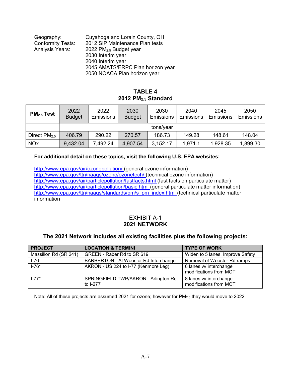| Geography:               | Cuyahoga and Lorain County, OH     |
|--------------------------|------------------------------------|
| <b>Conformity Tests:</b> | 2012 SIP Maintenance Plan tests    |
| <b>Analysis Years:</b>   | 2022 PM <sub>2.5</sub> Budget year |
|                          | 2030 Interim year                  |
|                          | 2040 Interim year                  |
|                          | 2045 AMATS/ERPC Plan horizon year  |
|                          |                                    |

## 2050 NOACA Plan horizon year

# **TABLE 4 2012 PM2.5 Standard**

| $PM2.5$ Test          | 2022<br><b>Budget</b> | 2022<br>Emissions | 2030<br><b>Budget</b> | 2030<br><b>Emissions</b> | 2040<br><b>Emissions</b> | 2045<br><b>Emissions</b> | 2050<br><b>Emissions</b> |
|-----------------------|-----------------------|-------------------|-----------------------|--------------------------|--------------------------|--------------------------|--------------------------|
|                       | tons/year             |                   |                       |                          |                          |                          |                          |
| Direct $PM2.5$        | 406.79                | 290.22            | 270.57                | 186.73                   | 149.28                   | 148.61                   | 148.04                   |
| <b>NO<sub>x</sub></b> | 9,432.04              | 7,492.24          | 4,907.54              | 3,152.17                 | 1,971.1                  | 1,928.35                 | 1,899.30                 |

# **For additional detail on these topics, visit the following U.S. EPA websites:**

[http://www.epa.gov/air/ozonepollution/ \(](http://www.epa.gov/air/ozonepollution/)general ozone information) [http://www.epa.gov/ttn/naaqs/ozone/ozonetech/ \(](http://www.epa.gov/ttn/naaqs/ozone/ozonetech/)technical ozone information) [http://www.epa.gov/air/particlepollution/fastfacts.html \(](http://www.epa.gov/air/particlepollution/fastfacts.html)fast facts on particulate matter) [http://www.epa.gov/air/particlepollution/basic.html \(](http://www.epa.gov/air/particlepollution/basic.html)general particulate matter information) http://www.epa.gov/ttn/naags/standards/pm/s\_pm\_index.html (technical particulate matter information

# EXHIBIT A-1 **2021 NETWORK**

# **The 2021 Network includes all existing facilities plus the following projects:**

| <b>PROJECT</b>        | <b>LOCATION &amp; TERMINI</b>                    | <b>TYPE OF WORK</b>                              |
|-----------------------|--------------------------------------------------|--------------------------------------------------|
| Massillon Rd (SR 241) | GREEN - Raber Rd to SR 619                       | Widen to 5 lanes, Improve Safety                 |
| $I-76$                | BARBERTON - At Wooster Rd Interchange            | Removal of Wooster Rd ramps                      |
| $1 - 76*$             | AKRON - US 224 to I-77 (Kenmore Leg)             | 6 lanes w/ interchange<br>modifications from MOT |
| $1 - 77*$             | SPRINGFIELD TWP/AKRON - Arlington Rd<br>to I-277 | 8 lanes w/ interchange<br>modifications from MOT |

Note: All of these projects are assumed 2021 for ozone; however for PM2.5 they would move to 2022.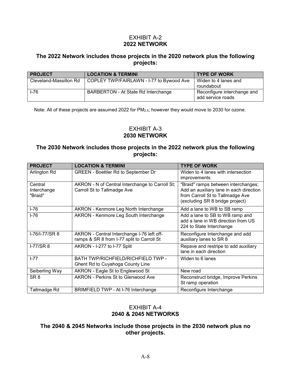## EXHIBIT A-2 **2022 NETWORK**

# **The 2022 Network includes those projects in the 2020 network plus the following projects:**

| <b>PROJECT</b>         | <b>LOCATION &amp; TERMINI</b>            | <b>TYPE OF WORK</b>                              |
|------------------------|------------------------------------------|--------------------------------------------------|
| Cleveland-Massillon Rd | COPLEY TWP/FAIRLAWN - I-77 to Bywood Ave | Widen to 4 lanes and<br>roundabout               |
| $1-76$                 | BARBERTON - At State Rd Interchange      | Reconfigure interchange and<br>add service roads |

Note: All of these projects are assumed 2022 for PM2.5; however they would move to 2030 for ozone.

# EXHIBIT A-3 **2030 NETWORK**

# **The 2030 Network includes those projects in the 2022 network plus the following projects:**

| <b>PROJECT</b>                    | <b>LOCATION &amp; TERMINI</b>                                                            | <b>TYPE OF WORK</b>                                                                                                                                   |
|-----------------------------------|------------------------------------------------------------------------------------------|-------------------------------------------------------------------------------------------------------------------------------------------------------|
| Arlington Rd                      | <b>GREEN - Boettler Rd to September Dr</b>                                               | Widen to 4 lanes with intersection<br>improvements                                                                                                    |
| Central<br>Interchange<br>"Braid" | AKRON - N of Central Interchange to Carroll St;<br>Carroll St to Tallmadge Ave           | "Braid" ramps between interchanges;<br>Add an auxiliary lane in each direction<br>from Carroll St to Tallmadge Ave<br>(excluding SR 8 bridge project) |
| $I-76$                            | AKRON - Kenmore Leg North Interchange                                                    | Add a lane to WB to SB ramp                                                                                                                           |
| $I - 76$                          | AKRON - Kenmore Leg South Interchange                                                    | Add a lane to SB to WB ramp and<br>add a lane in WB direction from US<br>224 to State Interchange                                                     |
| I-76/I-77/SR 8                    | AKRON - Central Interchange I-76 left off-<br>ramps & SR 8 from I-77 split to Carroll St | Reconfigure Interchange and add<br>auxiliary lanes to SR 8                                                                                            |
| $I-77/SR8$                        | AKRON - I-277 to I-77 Split                                                              | Repave and restripe to add auxiliary<br>lane in each direction                                                                                        |
| $I - 77$                          | BATH TWP/RICHFIELD/RICHFIELD TWP -<br>Ghent Rd to Cuyahoga County Line                   | Widen to 6 lanes                                                                                                                                      |
| Seiberling Way                    | AKRON - Eagle St to Englewood St                                                         | New road                                                                                                                                              |
| SR <sub>8</sub>                   | <b>AKRON - Perkins St to Glenwood Ave</b>                                                | Reconstruct bridge, Improve Perkins<br>St ramp operation                                                                                              |
| Tallmadge Rd                      | BRIMFIELD TWP - At I-76 Interchange                                                      | Reconfigure Interchange                                                                                                                               |

## EXHIBIT A-4 **2040 & 2045 NETWORKS**

## **The 2040 & 2045 Networks include those projects in the 2030 network plus no other projects.**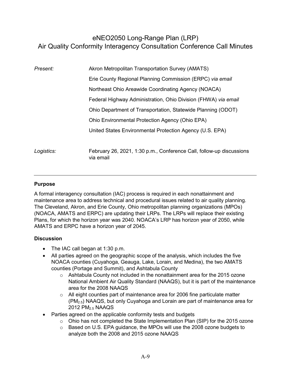# eNEO2050 Long-Range Plan (LRP) Air Quality Conformity Interagency Consultation Conference Call Minutes

| Present:   | Akron Metropolitan Transportation Survey (AMATS)                                  |  |
|------------|-----------------------------------------------------------------------------------|--|
|            | Erie County Regional Planning Commission (ERPC) via email                         |  |
|            | Northeast Ohio Areawide Coordinating Agency (NOACA)                               |  |
|            | Federal Highway Administration, Ohio Division (FHWA) via email                    |  |
|            | Ohio Department of Transportation, Statewide Planning (ODOT)                      |  |
|            | Ohio Environmental Protection Agency (Ohio EPA)                                   |  |
|            | United States Environmental Protection Agency (U.S. EPA)                          |  |
| Logistics: | February 26, 2021, 1:30 p.m., Conference Call, follow-up discussions<br>via email |  |

## **Purpose**

A formal interagency consultation (IAC) process is required in each nonattainment and maintenance area to address technical and procedural issues related to air quality planning. The Cleveland, Akron, and Erie County, Ohio metropolitan planning organizations (MPOs) (NOACA, AMATS and ERPC) are updating their LRPs. The LRPs will replace their existing Plans, for which the horizon year was 2040. NOACA's LRP has horizon year of 2050, while AMATS and ERPC have a horizon year of 2045.

## **Discussion**

- The IAC call began at 1:30 p.m.
- All parties agreed on the geographic scope of the analysis, which includes the five NOACA counties (Cuyahoga, Geauga, Lake, Lorain, and Medina), the two AMATS counties (Portage and Summit), and Ashtabula County
	- o Ashtabula County not included in the nonattainment area for the 2015 ozone National Ambient Air Quality Standard (NAAQS), but it is part of the maintenance area for the 2008 NAAQS
	- $\circ$  All eight counties part of maintenance area for 2006 fine particulate matter (PM2.5) NAAQS, but only Cuyahoga and Lorain are part of maintenance area for 2012 PM<sub>2.5</sub> NAAQS
- Parties agreed on the applicable conformity tests and budgets
	- $\circ$  Ohio has not completed the State Implementation Plan (SIP) for the 2015 ozone
	- o Based on U.S. EPA guidance, the MPOs will use the 2008 ozone budgets to analyze both the 2008 and 2015 ozone NAAQS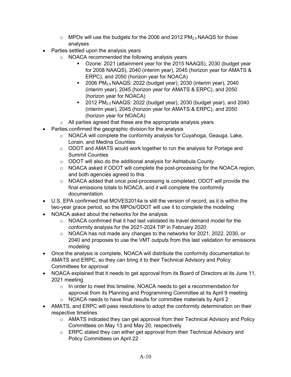- $\circ$  MPOs will use the budgets for the 2006 and 2012 PM<sub>2.5</sub> NAAQS for those analyses
- Parties settled upon the analysis years
	- $\circ$  NOACA recommended the following analysis years
		- Ozone: 2021 (attainment year for the 2015 NAAQS), 2030 (budget year for 2008 NAAQS), 2040 (interim year), 2045 (horizon year for AMATS & ERPC), and 2050 (horizon year for NOACA)
		- 2006 PM2.5 NAAQS: 2022 (budget year), 2030 (interim year), 2040 (interim year), 2045 (horizon year for AMATS & ERPC), and 2050 (horizon year for NOACA)
		- $\blacksquare$  2012 PM<sub>2.5</sub> NAAQS: 2022 (budget year), 2030 (budget year), and 2040 (interim year), 2045 (horizon year for AMATS & ERPC), and 2050 (horizon year for NOACA)
	- $\circ$  All parties agreed that these are the appropriate analysis years
- Parties confirmed the geographic division for the analysis
	- o NOACA will complete the conformity analysis for Cuyahoga, Geauga, Lake, Lorain, and Medina Counties
	- o ODOT and AMATS would work together to run the analysis for Portage and Summit Counties
	- o ODOT will also do the additional analysis for Ashtabula County
	- o NOACA asked if ODOT will complete the post-processing for the NOACA region, and both agencies agreed to this
	- o NOACA added that once post-processing is completed, ODOT will provide the final emissions totals to NOACA, and it will complete the conformity documentation
- U.S. EPA confirmed that MOVES2014a is still the version of record, as it is within the two-year grace period, so the MPOs/ODOT will use it to complete the modeling
- NOACA asked about the networks for the analysis
	- $\circ$  NOACA confirmed that it had last validated its travel demand model for the conformity analysis for the 2021-2024 TIP in February 2020
	- o NOACA has not made any changes to the networks for 2021, 2022, 2030, or 2040 and proposes to use the VMT outputs from this last validation for emissions modeling
- Once the analysis is complete, NOACA will distribute the conformity documentation to AMATS and ERPC, so they can bring it to their Technical Advisory and Policy Committees for approval
- NOACA explained that it needs to get approval from its Board of Directors at its June 11, 2021 meeting
	- $\circ$  In order to meet this timeline, NOACA needs to get a recommendation for approval from its Planning and Programming Committee at its April 9 meeting
	- o NOACA needs to have final results for committee materials by April 2
- AMATS, and ERPC will pass resolutions to adopt the conformity determination on their respective timelines
	- o AMATS indicated they can get approval from their Technical Advisory and Policy Committees on May 13 and May 20, respectively
	- o ERPC stated they can either get approval from their Technical Advisory and Policy Committees on April 22